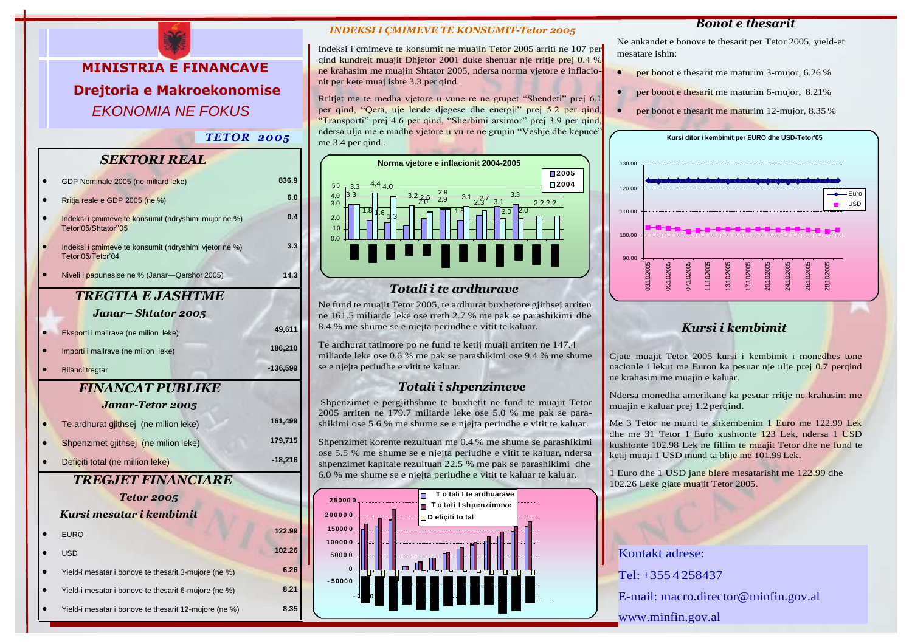**MINISTRIA E FINANCAVE Drejtoria e Makroekonomise** *EKONOMIA NE FOKUS*

*TETOR 2005*

## *SEKTORI REAL*

|                         | GDP Nominale 2005 (ne miliard leke)                                         | 836.9            |  |
|-------------------------|-----------------------------------------------------------------------------|------------------|--|
|                         | Rritja reale e GDP 2005 (ne %)                                              | 6.0              |  |
|                         | Indeksi i çmimeve te konsumit (ndryshimi mujor ne %)<br>Tetor'05/Shtator"05 | 0.4              |  |
|                         | Indeksi i çmimeve te konsumit (ndryshimi vjetor ne %)<br>Tetor'05/Tetor'04  | 3.3 <sub>2</sub> |  |
|                         | Niveli i papunesise ne % (Janar-Qershor 2005)                               | 14.3             |  |
| TREGTIA E JASHTME       |                                                                             |                  |  |
|                         | Janar– Shtator 2005                                                         |                  |  |
|                         | Eksporti i mallrave (ne milion leke)                                        | 49,611           |  |
|                         | Importi i mallrave (ne milion leke)                                         | 186,210          |  |
|                         | <b>Bilanci tregtar</b>                                                      | $-136,599$       |  |
| <b>FINANCAT PUBLIKE</b> |                                                                             |                  |  |
|                         | <b>Janar-Tetor 2005</b>                                                     |                  |  |
|                         | Te ardhurat gjithsej (ne milion leke)                                       | 161,499          |  |
|                         |                                                                             |                  |  |
|                         | Shpenzimet gjithsej (ne milion leke)                                        | 179,715          |  |
|                         | Deficiti total (ne million leke)                                            | $-18,216$        |  |
|                         | <b>TREGJET FINANCIARE</b>                                                   |                  |  |
|                         | <b>Tetor 2005</b>                                                           |                  |  |
|                         | Kursi mesatar i kembimit                                                    |                  |  |
|                         | <b>EURO</b>                                                                 | 122.99           |  |
|                         | <b>USD</b>                                                                  | 102.26           |  |
|                         | Yield-i mesatar i bonove te thesarit 3-mujore (ne %)                        | 6.26             |  |
|                         | Yield-i mesatar i bonove te thesarit 6-mujore (ne %)                        | 8.21             |  |

#### *INDEKSI I ÇMIMEVE TE KONSUMIT-Tetor 2005*

Indeksi i çmimeve te konsumit ne muajin Tetor 2005 arriti ne 107 per qind kundrejt muajit Dhjetor 2001 duke shenuar nje rritje prej 0.4 % ne krahasim me muajin Shtator 2005, ndersa norma vjetore e inflacionit per kete muaj ishte 3.3 per qind.

Rritjet me te medha vjetore u vune re ne grupet "Shendeti" prej 6.1 per qind, "Qera, uje lende djegese dhe energji" prej 5.2 per qind, "Transporti" prej 4.6 per qind, "Sherbimi arsimor" prej 3.9 per qind, ndersa ulja me e madhe vjetore u vu re ne grupin "Veshje dhe kepuce" me 3.4 per qind.



## *Totali i te ardhurave*

Ne fund te muajit Tetor 2005, te ardhurat buxhetore gjithsej arriten ne 161.5 miliarde leke ose rreth 2.7 % me pak se parashikimi dhe 8.4 % me shume se e njejta periudhe e vitit te kaluar.

Te ardhurat tatimore po ne fund te ketij muaji arriten ne 147.4 miliarde leke ose 0.6 % me pak se parashikimi ose 9.4 % me shume se e njejta periudhe e vitit te kaluar.

## *Totali i shpenzimeve*

Shpenzimet e pergjithshme te buxhetit ne fund te muajit Tetor 2005 arriten ne 179.7 miliarde leke ose 5.0 % me pak se parashikimi ose 5.6 % me shume se e njejta periudhe e vitit te kaluar.

Shpenzimet korente rezultuan me 0.4 % me shume se parashikimi ose 5.5 % me shume se e njejta periudhe e vitit te kaluar, ndersa shpenzimet kapitale rezultuan 22.5 % me pak se parashikimi dhe 6.0 % me shume se e njejta periudhe e vitit te kaluar te kaluar.



#### *Bonot e thesarit*

Ne ankandet e bonove te thesarit per Tetor 2005, yield-et mesatare ishin:

- per bonot e thesarit me maturim 3-mujor, 6.26 %
- per bonot e thesarit me maturim 6-mujor, 8.21%
- per bonot e thesarit me maturim 12-mujor, 8.35 %



# *Kursi i kembimit*

Gjate muajit Tetor 2005 kursi i kembimit i monedhes tone nacionle i lekut me Euron ka pesuar nje ulje prej 0.7 perqind ne krahasim me muajin e kaluar.

Ndersa monedha amerikane ka pesuar rritje ne krahasim me muajin e kaluar prej 1.2 perqind.

Me 3 Tetor ne mund te shkembenim 1 Euro me 122.99 Lek dhe me 31 Tetor 1 Euro kushtonte 123 Lek, ndersa 1 USD kushtonte 102.98 Lek ne fillim te muajit Tetor dhe ne fund te ketij muaji 1 USD mund ta blije me 101.99Lek.

1 Euro dhe 1 USD jane blere mesatarisht me 122.99 dhe 102.26 Leke gjate muajit Tetor 2005.

Kontakt adrese: Tel: +355 4 258437 E-mail: [macro.director@minfin.gov.al](mailto:macro.director@minfin.gov.al) [www.minfin.gov.al](http://www.minfin.gov.al/)